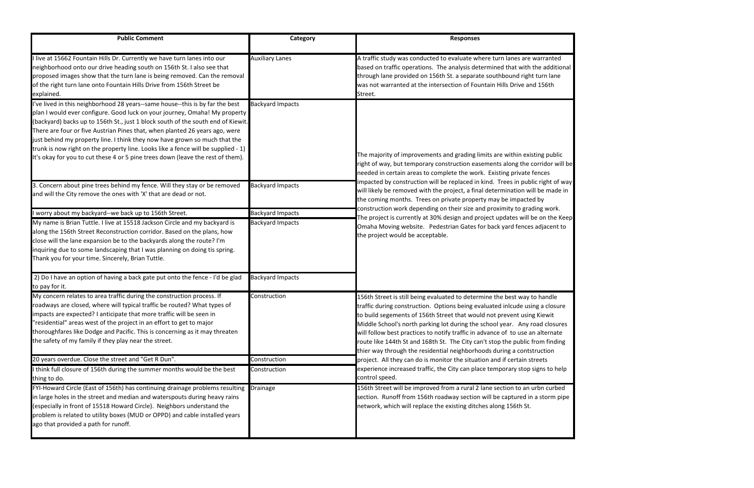| <b>Public Comment</b>                                                                                                                                                                                                                                                                                                                                                                                                                                                                                                                                                                | Category                                           | <b>Responses</b>                                                                                                                                                                                                                                                                                                                                                                                                                                                                                                                                                                                                                                                                                                                                         |
|--------------------------------------------------------------------------------------------------------------------------------------------------------------------------------------------------------------------------------------------------------------------------------------------------------------------------------------------------------------------------------------------------------------------------------------------------------------------------------------------------------------------------------------------------------------------------------------|----------------------------------------------------|----------------------------------------------------------------------------------------------------------------------------------------------------------------------------------------------------------------------------------------------------------------------------------------------------------------------------------------------------------------------------------------------------------------------------------------------------------------------------------------------------------------------------------------------------------------------------------------------------------------------------------------------------------------------------------------------------------------------------------------------------------|
| live at 15662 Fountain Hills Dr. Currently we have turn lanes into our<br>neighborhood onto our drive heading south on 156th St. I also see that<br>proposed images show that the turn lane is being removed. Can the removal<br>of the right turn lane onto Fountain Hills Drive from 156th Street be<br>explained.                                                                                                                                                                                                                                                                 | <b>Auxiliary Lanes</b>                             | A traffic study was conducted to evaluate where turn lanes are warranted<br>based on traffic operations. The analysis determined that with the additional<br>through lane provided on 156th St. a separate southbound right turn lane<br>was not warranted at the intersection of Fountain Hills Drive and 156th<br>Street.                                                                                                                                                                                                                                                                                                                                                                                                                              |
| I've lived in this neighborhood 28 years--same house--this is by far the best<br>plan I would ever configure. Good luck on your journey, Omaha! My property<br>(backyard) backs up to 156th St., just 1 block south of the south end of Kiewit.<br>There are four or five Austrian Pines that, when planted 26 years ago, were<br>just behind my property line. I think they now have grown so much that the<br>trunk is now right on the property line. Looks like a fence will be supplied - 1)<br>It's okay for you to cut these 4 or 5 pine trees down (leave the rest of them). | <b>Backyard Impacts</b>                            | The majority of improvements and grading limits are within existing public<br>right of way, but temporary construction easements along the corridor will be<br>needed in certain areas to complete the work. Existing private fences<br>mpacted by construction will be replaced in kind. Trees in public right of way<br>will likely be removed with the project, a final determination will be made in<br>the coming months. Trees on private property may be impacted by<br>construction work depending on their size and proximity to grading work.<br>The project is currently at 30% design and project updates will be on the Keep<br>Omaha Moving website. Pedestrian Gates for back yard fences adjacent to<br>the project would be acceptable. |
| 3. Concern about pine trees behind my fence. Will they stay or be removed<br>and will the City remove the ones with 'X' that are dead or not.                                                                                                                                                                                                                                                                                                                                                                                                                                        | <b>Backyard Impacts</b>                            |                                                                                                                                                                                                                                                                                                                                                                                                                                                                                                                                                                                                                                                                                                                                                          |
| I worry about my backyard--we back up to 156th Street.<br>My name is Brian Tuttle. I live at 15518 Jackson Circle and my backyard is<br>along the 156th Street Reconstruction corridor. Based on the plans, how<br>close will the lane expansion be to the backyards along the route? I'm<br>inquiring due to some landscaping that I was planning on doing tis spring.<br>Thank you for your time. Sincerely, Brian Tuttle.                                                                                                                                                         | <b>Backyard Impacts</b><br><b>Backyard Impacts</b> |                                                                                                                                                                                                                                                                                                                                                                                                                                                                                                                                                                                                                                                                                                                                                          |
| 2) Do I have an option of having a back gate put onto the fence - I'd be glad<br>to pay for it.                                                                                                                                                                                                                                                                                                                                                                                                                                                                                      | <b>Backyard Impacts</b>                            |                                                                                                                                                                                                                                                                                                                                                                                                                                                                                                                                                                                                                                                                                                                                                          |
| My concern relates to area traffic during the construction process. If<br>roadways are closed, where will typical traffic be routed? What types of<br>impacts are expected? I anticipate that more traffic will be seen in<br>"residential" areas west of the project in an effort to get to major<br>thoroughfares like Dodge and Pacific. This is concerning as it may threaten<br>the safety of my family if they play near the street.                                                                                                                                           | Construction                                       | 156th Street is still being evaluated to determine the best way to handle<br>traffic during construction. Options being evaluated inlcude using a closure<br>to build segements of 156th Street that would not prevent using Kiewit<br>Middle School's north parking lot during the school year. Any road closures<br>will follow best practices to notify traffic in advance of to use an alternate<br>oute like 144th St and 168th St. The City can't stop the public from finding<br>thier way through the residential neighborhoods during a contstruction                                                                                                                                                                                           |
| 20 years overdue. Close the street and "Get R Dun".                                                                                                                                                                                                                                                                                                                                                                                                                                                                                                                                  | Construction                                       | project. All they can do is monitor the situation and if certain streets                                                                                                                                                                                                                                                                                                                                                                                                                                                                                                                                                                                                                                                                                 |
| I think full closure of 156th during the summer months would be the best<br>thing to do.                                                                                                                                                                                                                                                                                                                                                                                                                                                                                             | Construction                                       | experience increased traffic, the City can place temporary stop signs to help<br>control speed.                                                                                                                                                                                                                                                                                                                                                                                                                                                                                                                                                                                                                                                          |
| FYI-Howard Circle (East of 156th) has continuing drainage problems resulting Drainage<br>in large holes in the street and median and waterspouts during heavy rains<br>(especially in front of 15518 Howard Circle). Neighbors understand the<br>problem is related to utility boxes (MUD or OPPD) and cable installed years<br>ago that provided a path for runoff.                                                                                                                                                                                                                 |                                                    | 156th Street will be improved from a rural 2 lane section to an urbn curbed<br>section. Runoff from 156th roadway section will be captured in a storm pipe<br>network, which will replace the existing ditches along 156th St.                                                                                                                                                                                                                                                                                                                                                                                                                                                                                                                           |

| ranted<br>additional                            |  |
|-------------------------------------------------|--|
| n lane<br>56th                                  |  |
|                                                 |  |
| g public<br>dor will be<br>es<br>ght of way     |  |
| made in<br>ı<br>work.<br>n the Keep<br>acent to |  |
|                                                 |  |
|                                                 |  |
| andle<br>ı closure<br>ewit<br>closures          |  |
| ternate<br>n finding<br>tion<br>ts              |  |
| s to help                                       |  |
| า curbed<br>torm pipe                           |  |
|                                                 |  |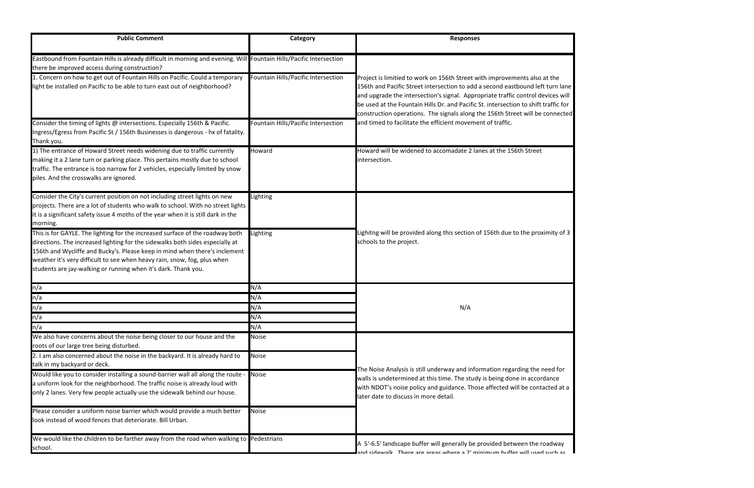| <b>Public Comment</b>                                                                                                                                                                                                                                                                                                                                                                      | Category                            | <b>Responses</b>                                                                                                                                                                                                                                                                                                                                                                                                       |
|--------------------------------------------------------------------------------------------------------------------------------------------------------------------------------------------------------------------------------------------------------------------------------------------------------------------------------------------------------------------------------------------|-------------------------------------|------------------------------------------------------------------------------------------------------------------------------------------------------------------------------------------------------------------------------------------------------------------------------------------------------------------------------------------------------------------------------------------------------------------------|
| Eastbound from Fountain Hills is already difficult in morning and evening. Will Fountain Hills/Pacific Intersection<br>there be improved access during construction?                                                                                                                                                                                                                       |                                     |                                                                                                                                                                                                                                                                                                                                                                                                                        |
| 1. Concern on how to get out of Fountain Hills on Pacific. Could a temporary<br>ight be installed on Pacific to be able to turn east out of neighborhood?                                                                                                                                                                                                                                  | Fountain Hills/Pacific Intersection | Project is limitied to work on 156th Street with improvements also at the<br>156th and Pacific Street intersection to add a second eastbound left turn lane<br>and upgrade the intersection's signal. Appropriate traffic control devices will<br>be used at the Fountain Hills Dr. and Pacific St. intersection to shift traffic for<br>construction operations. The signals along the 156th Street will be connected |
| Consider the timing of lights @ intersections. Especially 156th & Pacific.<br>Ingress/Egress from Pacific St / 156th Businesses is dangerous - hx of fatality.<br>Thank you.                                                                                                                                                                                                               | Fountain Hills/Pacific Intersection | and timed to facilitate the efficient movement of traffic.                                                                                                                                                                                                                                                                                                                                                             |
| 1) The entrance of Howard Street needs widening due to traffic currently<br>making it a 2 lane turn or parking place. This pertains mostly due to school<br>traffic. The entrance is too narrow for 2 vehicles, especially limited by snow<br>piles. And the crosswalks are ignored.                                                                                                       | Howard                              | Howard will be widened to accomadate 2 lanes at the 156th Street<br>intersection.                                                                                                                                                                                                                                                                                                                                      |
| Consider the City's current position on not including street lights on new<br>projects. There are a lot of students who walk to school. With no street lights<br>it is a significant safety issue 4 moths of the year when it is still dark in the<br>morning.                                                                                                                             | Lighting                            |                                                                                                                                                                                                                                                                                                                                                                                                                        |
| This is for GAYLE. The lighting for the increased surface of the roadway both<br>directions. The increased lighting for the sidewalks both sides especially at<br>156th and Wycliffe and Bucky's. Please keep in mind when there's inclement<br>weather it's very difficult to see when heavy rain, snow, fog, plus when<br>students are jay-walking or running when it's dark. Thank you. | ighting                             | Lighitng will be provided along this section of 156th due to the proximity of 3<br>schools to the project.                                                                                                                                                                                                                                                                                                             |
| n/a                                                                                                                                                                                                                                                                                                                                                                                        | N/A                                 |                                                                                                                                                                                                                                                                                                                                                                                                                        |
| n/a                                                                                                                                                                                                                                                                                                                                                                                        | N/A                                 |                                                                                                                                                                                                                                                                                                                                                                                                                        |
| n/a                                                                                                                                                                                                                                                                                                                                                                                        | N/A                                 | N/A                                                                                                                                                                                                                                                                                                                                                                                                                    |
| n/a                                                                                                                                                                                                                                                                                                                                                                                        | N/A                                 |                                                                                                                                                                                                                                                                                                                                                                                                                        |
| n/a<br>We also have concerns about the noise being closer to our house and the                                                                                                                                                                                                                                                                                                             | N/A<br><b>Noise</b>                 |                                                                                                                                                                                                                                                                                                                                                                                                                        |
| roots of our large tree being disturbed.                                                                                                                                                                                                                                                                                                                                                   |                                     |                                                                                                                                                                                                                                                                                                                                                                                                                        |
| 2. I am also concerned about the noise in the backyard. It is already hard to<br>talk in my backyard or deck.                                                                                                                                                                                                                                                                              | <b>Noise</b>                        | The Noise Analysis is still underway and information regarding the need for                                                                                                                                                                                                                                                                                                                                            |
| Would like you to consider installing a sound-barrier wall all along the route -<br>a uniform look for the neighborhood. The traffic noise is already loud with<br>only 2 lanes. Very few people actually use the sidewalk behind our house.                                                                                                                                               | <b>Noise</b>                        | walls is undetermined at this time. The study is being done in accordance<br>with NDOT's noise policy and guidance. Those affected will be contacted at a<br>later date to discuss in more detail.                                                                                                                                                                                                                     |
| Please consider a uniform noise barrier which would provide a much better<br>ook instead of wood fences that deteriorate. Bill Urban.                                                                                                                                                                                                                                                      | <b>Noise</b>                        |                                                                                                                                                                                                                                                                                                                                                                                                                        |
| We would like the children to be farther away from the road when walking to Pedestrians<br>school.                                                                                                                                                                                                                                                                                         |                                     | A 5'-6.5' landscape buffer will generally be provided between the roadway<br>and cidewalk Thara ara araac whara a 2' minimum huffar will ucad cuch ac                                                                                                                                                                                                                                                                  |

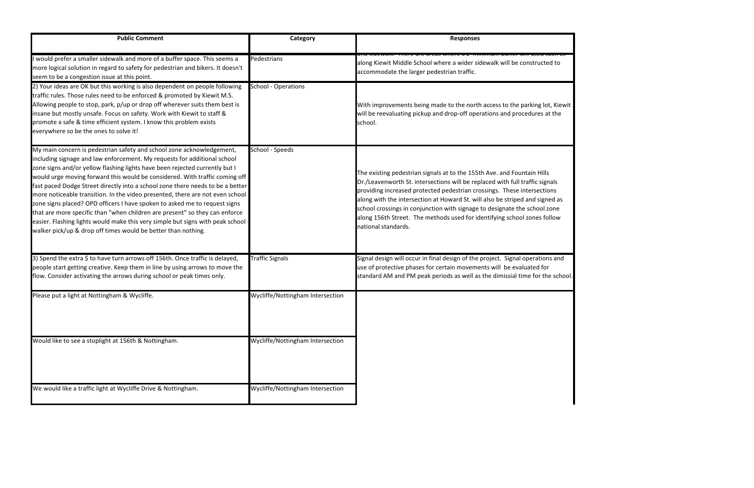| <b>Public Comment</b>                                                                                                                                                                                                                                                                                                                                                                                                                                                                                                                                                                                                                                                                                                                                                                              | Category                         | <b>Responses</b>                                                                                                                                                                                                                                                                                                                                                                                                                                                                                   |
|----------------------------------------------------------------------------------------------------------------------------------------------------------------------------------------------------------------------------------------------------------------------------------------------------------------------------------------------------------------------------------------------------------------------------------------------------------------------------------------------------------------------------------------------------------------------------------------------------------------------------------------------------------------------------------------------------------------------------------------------------------------------------------------------------|----------------------------------|----------------------------------------------------------------------------------------------------------------------------------------------------------------------------------------------------------------------------------------------------------------------------------------------------------------------------------------------------------------------------------------------------------------------------------------------------------------------------------------------------|
| I would prefer a smaller sidewalk and more of a buffer space. This seems a<br>more logical solution in regard to safety for pedestrian and bikers. It doesn't<br>seem to be a congestion issue at this point.                                                                                                                                                                                                                                                                                                                                                                                                                                                                                                                                                                                      | Pedestrians                      | anu siucwaii, There are areas where a z-mimmum bune<br>along Kiewit Middle School where a wider sidewalk will be constructed to<br>accommodate the larger pedestrian traffic.                                                                                                                                                                                                                                                                                                                      |
| 2) Your ideas are OK but this working is also dependent on people following<br>traffic rules. Those rules need to be enforced & promoted by Kiewit M.S.<br>Allowing people to stop, park, p/up or drop off wherever suits them best is<br>insane but mostly unsafe. Focus on safety. Work with Kiewit to staff &<br>promote a safe & time efficient system. I know this problem exists<br>everywhere so be the ones to solve it!                                                                                                                                                                                                                                                                                                                                                                   | <b>School - Operations</b>       | With improvements being made to the north access to the parking lot, Kiew<br>will be reevaluating pickup and drop-off operations and procedures at the<br>school.                                                                                                                                                                                                                                                                                                                                  |
| My main concern is pedestrian safety and school zone acknowledgement,<br>including signage and law enforcement. My requests for additional school<br>zone signs and/or yellow flashing lights have been rejected currently but I<br>would urge moving forward this would be considered. With traffic coming off<br>fast paced Dodge Street directly into a school zone there needs to be a better<br>more noticeable transition. In the video presented, there are not even school<br>zone signs placed? OPD officers I have spoken to asked me to request signs<br>that are more specific than "when children are present" so they can enforce<br>easier. Flashing lights would make this very simple but signs with peak school<br>walker pick/up & drop off times would be better than nothing. | School - Speeds                  | The existing pedestrian signals at to the 155th Ave. and Fountain Hills<br>Dr./Leavenworth St. intersections will be replaced with full traffic signals<br>providing increased protected pedestrian crossings. These intersections<br>along with the intersection at Howard St. will also be striped and signed as<br>school crossings in conjunction with signage to designate the school zone<br>along 156th Street. The methods used for identifying school zones follow<br>national standards. |
| 3) Spend the extra \$ to have turn arrows off 156th. Once traffic is delayed,<br>people start getting creative. Keep them in line by using arrows to move the<br>flow. Consider activating the arrows during school or peak times only.                                                                                                                                                                                                                                                                                                                                                                                                                                                                                                                                                            | <b>Traffic Signals</b>           | Signal design will occur in final design of the project. Signal operations and<br>use of protective phases for certain movements will be evaluated for<br>standard AM and PM peak periods as well as the dimissial time for the schor                                                                                                                                                                                                                                                              |
| Please put a light at Nottingham & Wycliffe.                                                                                                                                                                                                                                                                                                                                                                                                                                                                                                                                                                                                                                                                                                                                                       | Wycliffe/Nottingham Intersection |                                                                                                                                                                                                                                                                                                                                                                                                                                                                                                    |
| Would like to see a stoplight at 156th & Nottingham.                                                                                                                                                                                                                                                                                                                                                                                                                                                                                                                                                                                                                                                                                                                                               | Wycliffe/Nottingham Intersection |                                                                                                                                                                                                                                                                                                                                                                                                                                                                                                    |
| We would like a traffic light at Wycliffe Drive & Nottingham.                                                                                                                                                                                                                                                                                                                                                                                                                                                                                                                                                                                                                                                                                                                                      | Wycliffe/Nottingham Intersection |                                                                                                                                                                                                                                                                                                                                                                                                                                                                                                    |